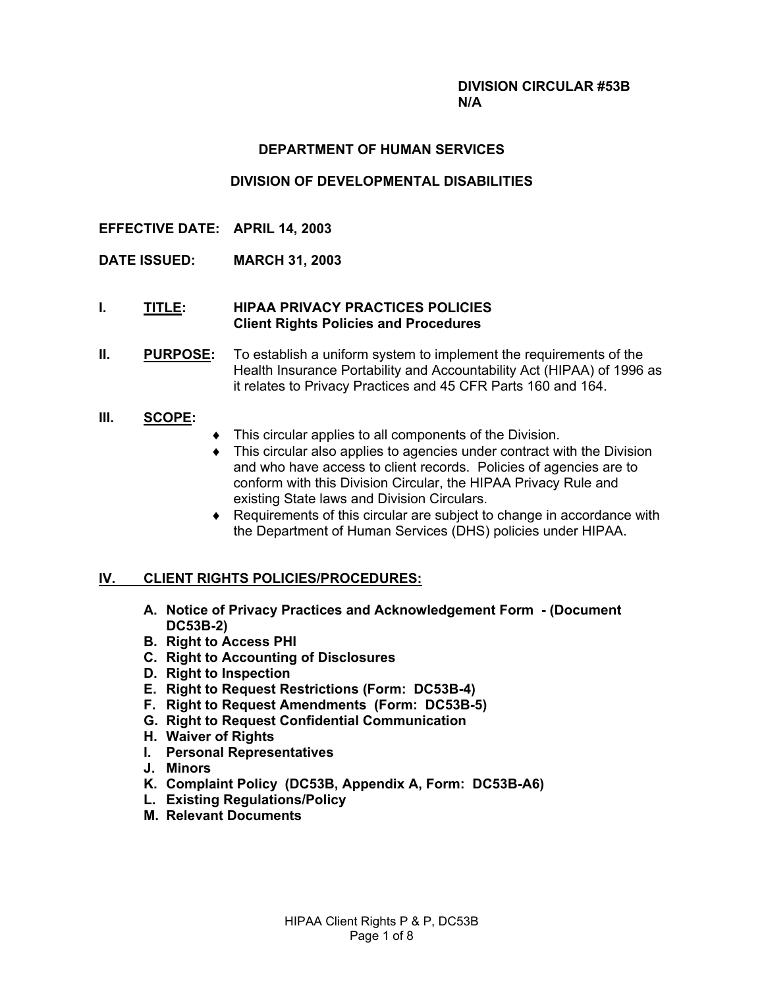#### **DIVISION CIRCULAR #53B N/A**

### **DEPARTMENT OF HUMAN SERVICES**

### **DIVISION OF DEVELOPMENTAL DISABILITIES**

- **EFFECTIVE DATE: APRIL 14, 2003**
- **DATE ISSUED: MARCH 31, 2003**

#### **I. TITLE: HIPAA PRIVACY PRACTICES POLICIES Client Rights Policies and Procedures**

**II. PURPOSE:** To establish a uniform system to implement the requirements of the Health Insurance Portability and Accountability Act (HIPAA) of 1996 as it relates to Privacy Practices and 45 CFR Parts 160 and 164.

#### **III. SCOPE:**

- ♦ This circular applies to all components of the Division.
- ♦ This circular also applies to agencies under contract with the Division and who have access to client records. Policies of agencies are to conform with this Division Circular, the HIPAA Privacy Rule and existing State laws and Division Circulars.
- ♦ Requirements of this circular are subject to change in accordance with the Department of Human Services (DHS) policies under HIPAA.

### **IV. CLIENT RIGHTS POLICIES/PROCEDURES:**

- **A. Notice of Privacy Practices and Acknowledgement Form (Document DC53B-2)**
- **B. Right to Access PHI**
- **C. Right to Accounting of Disclosures**
- **D. Right to Inspection**
- **E. Right to Request Restrictions (Form: DC53B-4)**
- **F. Right to Request Amendments (Form: DC53B-5)**
- **G. Right to Request Confidential Communication**
- **H. Waiver of Rights**
- **I. Personal Representatives**
- **J. Minors**
- **K. Complaint Policy (DC53B, Appendix A, Form: DC53B-A6)**
- **L. Existing Regulations/Policy**
- **M. Relevant Documents**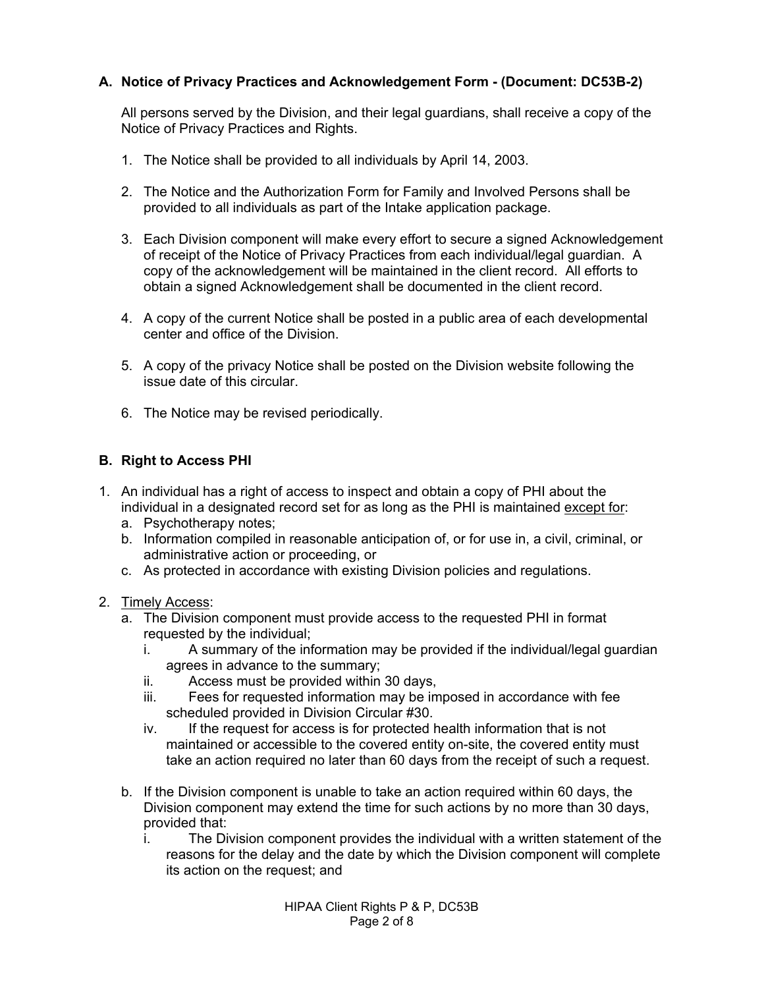# **A. Notice of Privacy Practices and Acknowledgement Form - (Document: DC53B-2)**

All persons served by the Division, and their legal guardians, shall receive a copy of the Notice of Privacy Practices and Rights.

- 1. The Notice shall be provided to all individuals by April 14, 2003.
- 2. The Notice and the Authorization Form for Family and Involved Persons shall be provided to all individuals as part of the Intake application package.
- 3. Each Division component will make every effort to secure a signed Acknowledgement of receipt of the Notice of Privacy Practices from each individual/legal guardian. A copy of the acknowledgement will be maintained in the client record. All efforts to obtain a signed Acknowledgement shall be documented in the client record.
- 4. A copy of the current Notice shall be posted in a public area of each developmental center and office of the Division.
- 5. A copy of the privacy Notice shall be posted on the Division website following the issue date of this circular.
- 6. The Notice may be revised periodically.

# **B. Right to Access PHI**

- 1. An individual has a right of access to inspect and obtain a copy of PHI about the individual in a designated record set for as long as the PHI is maintained except for:
	- a. Psychotherapy notes;
	- b. Information compiled in reasonable anticipation of, or for use in, a civil, criminal, or administrative action or proceeding, or
	- c. As protected in accordance with existing Division policies and regulations.

# 2. Timely Access:

- a. The Division component must provide access to the requested PHI in format requested by the individual;
	- i. A summary of the information may be provided if the individual/legal guardian agrees in advance to the summary;
	- ii. Access must be provided within 30 days,
	- iii. Fees for requested information may be imposed in accordance with fee scheduled provided in Division Circular #30.
	- iv. If the request for access is for protected health information that is not maintained or accessible to the covered entity on-site, the covered entity must take an action required no later than 60 days from the receipt of such a request.
- b. If the Division component is unable to take an action required within 60 days, the Division component may extend the time for such actions by no more than 30 days, provided that:
	- i. The Division component provides the individual with a written statement of the reasons for the delay and the date by which the Division component will complete its action on the request; and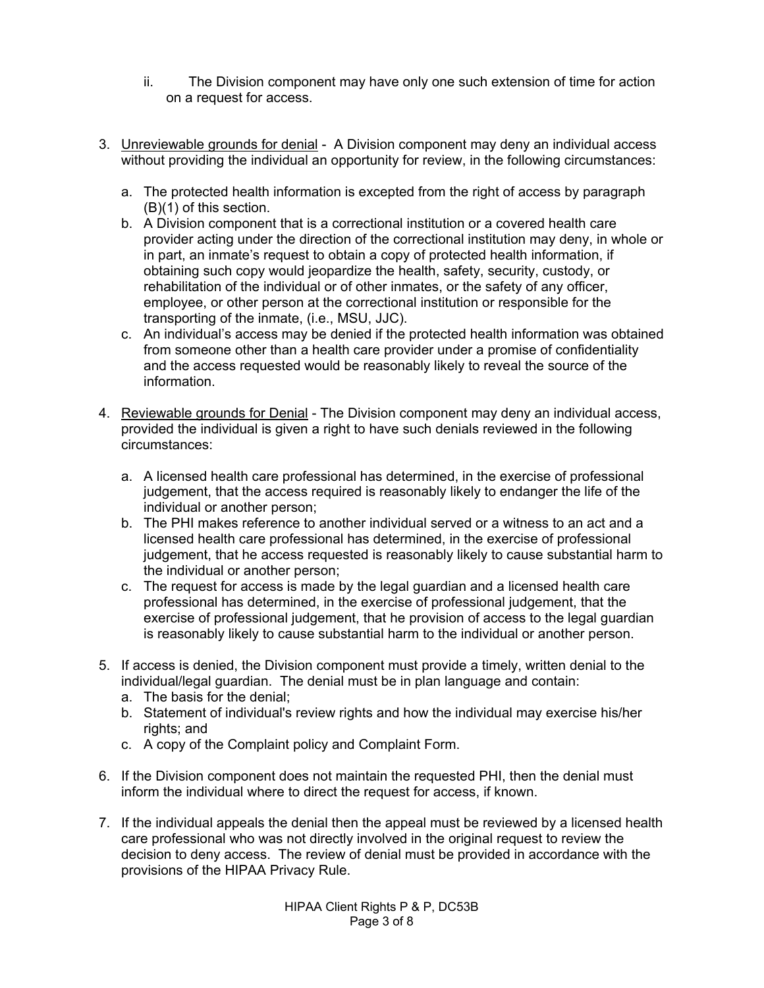- ii. The Division component may have only one such extension of time for action on a request for access.
- 3. Unreviewable grounds for denial A Division component may deny an individual access without providing the individual an opportunity for review, in the following circumstances:
	- a. The protected health information is excepted from the right of access by paragraph (B)(1) of this section.
	- b. A Division component that is a correctional institution or a covered health care provider acting under the direction of the correctional institution may deny, in whole or in part, an inmate's request to obtain a copy of protected health information, if obtaining such copy would jeopardize the health, safety, security, custody, or rehabilitation of the individual or of other inmates, or the safety of any officer, employee, or other person at the correctional institution or responsible for the transporting of the inmate, (i.e., MSU, JJC).
	- c. An individualís access may be denied if the protected health information was obtained from someone other than a health care provider under a promise of confidentiality and the access requested would be reasonably likely to reveal the source of the information.
- 4. Reviewable grounds for Denial The Division component may deny an individual access, provided the individual is given a right to have such denials reviewed in the following circumstances:
	- a. A licensed health care professional has determined, in the exercise of professional judgement, that the access required is reasonably likely to endanger the life of the individual or another person;
	- b. The PHI makes reference to another individual served or a witness to an act and a licensed health care professional has determined, in the exercise of professional judgement, that he access requested is reasonably likely to cause substantial harm to the individual or another person;
	- c. The request for access is made by the legal guardian and a licensed health care professional has determined, in the exercise of professional judgement, that the exercise of professional judgement, that he provision of access to the legal guardian is reasonably likely to cause substantial harm to the individual or another person.
- 5. If access is denied, the Division component must provide a timely, written denial to the individual/legal guardian. The denial must be in plan language and contain:
	- a. The basis for the denial;
	- b. Statement of individual's review rights and how the individual may exercise his/her rights; and
	- c. A copy of the Complaint policy and Complaint Form.
- 6. If the Division component does not maintain the requested PHI, then the denial must inform the individual where to direct the request for access, if known.
- 7. If the individual appeals the denial then the appeal must be reviewed by a licensed health care professional who was not directly involved in the original request to review the decision to deny access. The review of denial must be provided in accordance with the provisions of the HIPAA Privacy Rule.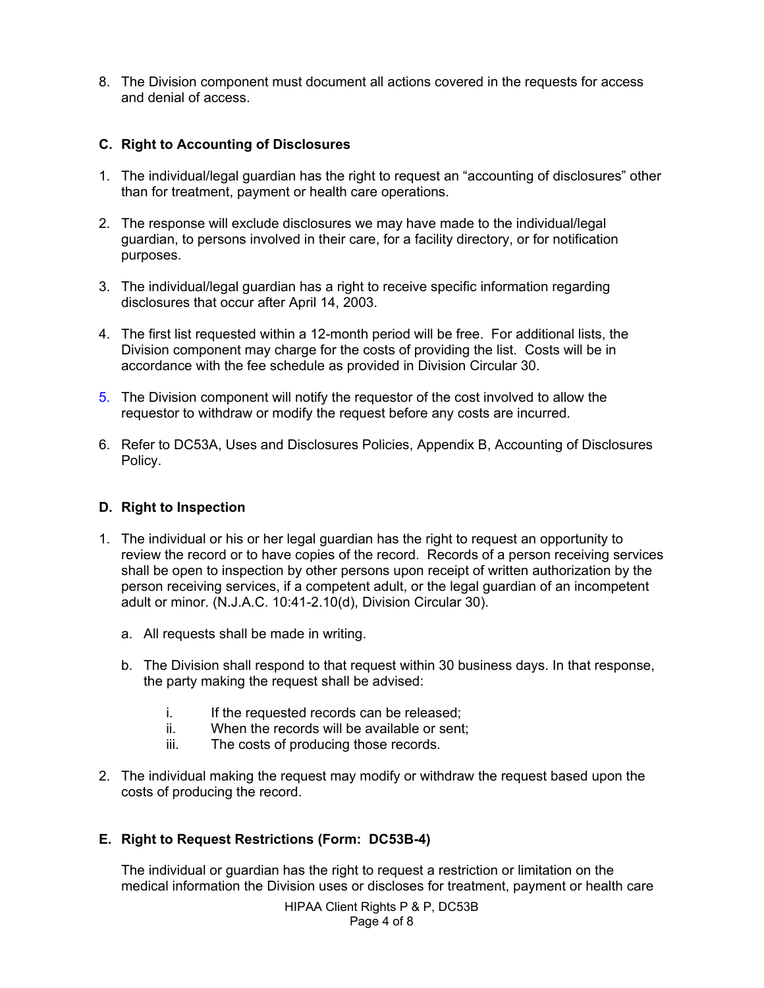8. The Division component must document all actions covered in the requests for access and denial of access.

## **C. Right to Accounting of Disclosures**

- 1. The individual/legal guardian has the right to request an "accounting of disclosures" other than for treatment, payment or health care operations.
- 2. The response will exclude disclosures we may have made to the individual/legal guardian, to persons involved in their care, for a facility directory, or for notification purposes.
- 3. The individual/legal guardian has a right to receive specific information regarding disclosures that occur after April 14, 2003.
- 4. The first list requested within a 12-month period will be free. For additional lists, the Division component may charge for the costs of providing the list. Costs will be in accordance with the fee schedule as provided in Division Circular 30.
- 5. The Division component will notify the requestor of the cost involved to allow the requestor to withdraw or modify the request before any costs are incurred.
- 6. Refer to DC53A, Uses and Disclosures Policies, Appendix B, Accounting of Disclosures Policy.

### **D. Right to Inspection**

- 1. The individual or his or her legal guardian has the right to request an opportunity to review the record or to have copies of the record. Records of a person receiving services shall be open to inspection by other persons upon receipt of written authorization by the person receiving services, if a competent adult, or the legal guardian of an incompetent adult or minor. (N.J.A.C. 10:41-2.10(d), Division Circular 30).
	- a. All requests shall be made in writing.
	- b. The Division shall respond to that request within 30 business days. In that response, the party making the request shall be advised:
		- i. If the requested records can be released;
		- ii. When the records will be available or sent;
		- iii. The costs of producing those records.
- 2. The individual making the request may modify or withdraw the request based upon the costs of producing the record.

# **E. Right to Request Restrictions (Form: DC53B-4)**

The individual or guardian has the right to request a restriction or limitation on the medical information the Division uses or discloses for treatment, payment or health care

> HIPAA Client Rights P & P, DC53B Page 4 of 8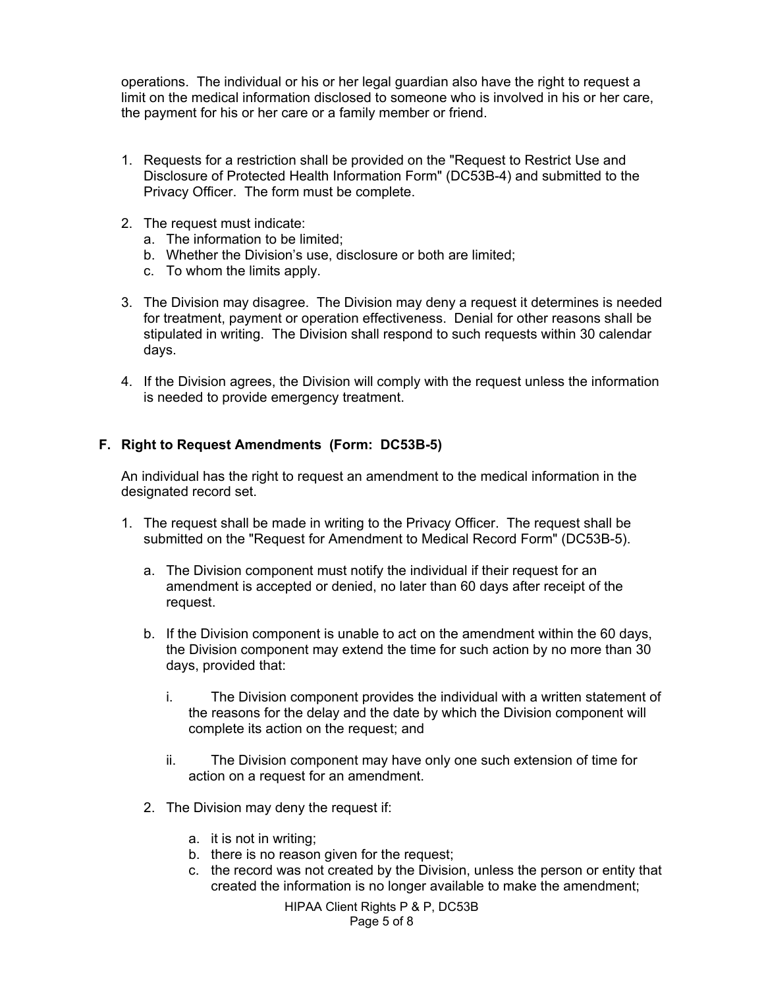operations. The individual or his or her legal guardian also have the right to request a limit on the medical information disclosed to someone who is involved in his or her care, the payment for his or her care or a family member or friend.

- 1. Requests for a restriction shall be provided on the "Request to Restrict Use and Disclosure of Protected Health Information Form" (DC53B-4) and submitted to the Privacy Officer. The form must be complete.
- 2. The request must indicate:
	- a. The information to be limited;
	- b. Whether the Division's use, disclosure or both are limited;
	- c. To whom the limits apply.
- 3. The Division may disagree. The Division may deny a request it determines is needed for treatment, payment or operation effectiveness. Denial for other reasons shall be stipulated in writing. The Division shall respond to such requests within 30 calendar days.
- 4. If the Division agrees, the Division will comply with the request unless the information is needed to provide emergency treatment.

## **F. Right to Request Amendments (Form: DC53B-5)**

An individual has the right to request an amendment to the medical information in the designated record set.

- 1. The request shall be made in writing to the Privacy Officer. The request shall be submitted on the "Request for Amendment to Medical Record Form" (DC53B-5).
	- a. The Division component must notify the individual if their request for an amendment is accepted or denied, no later than 60 days after receipt of the request.
	- b. If the Division component is unable to act on the amendment within the 60 days, the Division component may extend the time for such action by no more than 30 days, provided that:
		- i. The Division component provides the individual with a written statement of the reasons for the delay and the date by which the Division component will complete its action on the request; and
		- ii. The Division component may have only one such extension of time for action on a request for an amendment.
	- 2. The Division may deny the request if:
		- a. it is not in writing;
		- b. there is no reason given for the request;
		- c. the record was not created by the Division, unless the person or entity that created the information is no longer available to make the amendment;

HIPAA Client Rights P & P, DC53B Page 5 of 8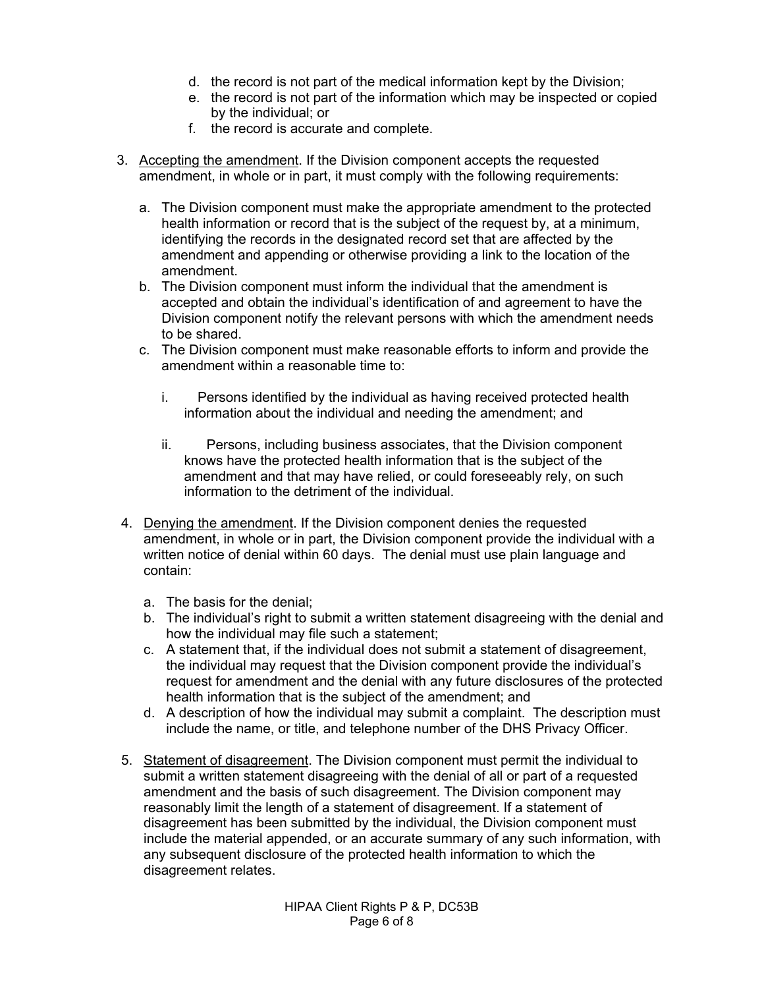- d. the record is not part of the medical information kept by the Division;
- e. the record is not part of the information which may be inspected or copied by the individual; or
- f. the record is accurate and complete.
- 3. Accepting the amendment. If the Division component accepts the requested amendment, in whole or in part, it must comply with the following requirements:
	- a. The Division component must make the appropriate amendment to the protected health information or record that is the subject of the request by, at a minimum, identifying the records in the designated record set that are affected by the amendment and appending or otherwise providing a link to the location of the amendment.
	- b. The Division component must inform the individual that the amendment is accepted and obtain the individualís identification of and agreement to have the Division component notify the relevant persons with which the amendment needs to be shared.
	- c. The Division component must make reasonable efforts to inform and provide the amendment within a reasonable time to:
		- i. Persons identified by the individual as having received protected health information about the individual and needing the amendment; and
		- ii. Persons, including business associates, that the Division component knows have the protected health information that is the subject of the amendment and that may have relied, or could foreseeably rely, on such information to the detriment of the individual.
- 4. Denying the amendment. If the Division component denies the requested amendment, in whole or in part, the Division component provide the individual with a written notice of denial within 60 days. The denial must use plain language and contain:
	- a. The basis for the denial;
	- b. The individual's right to submit a written statement disagreeing with the denial and how the individual may file such a statement;
	- c. A statement that, if the individual does not submit a statement of disagreement, the individual may request that the Division component provide the individualís request for amendment and the denial with any future disclosures of the protected health information that is the subject of the amendment; and
	- d. A description of how the individual may submit a complaint. The description must include the name, or title, and telephone number of the DHS Privacy Officer.
- 5. Statement of disagreement. The Division component must permit the individual to submit a written statement disagreeing with the denial of all or part of a requested amendment and the basis of such disagreement. The Division component may reasonably limit the length of a statement of disagreement. If a statement of disagreement has been submitted by the individual, the Division component must include the material appended, or an accurate summary of any such information, with any subsequent disclosure of the protected health information to which the disagreement relates.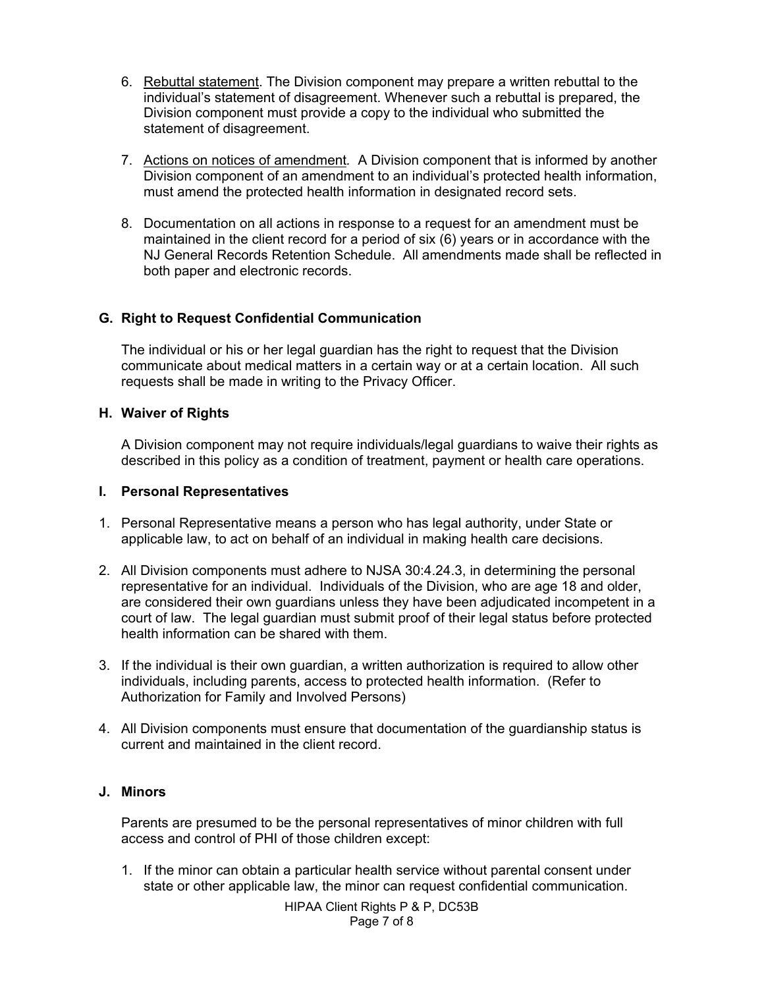- 6. Rebuttal statement. The Division component may prepare a written rebuttal to the individual's statement of disagreement. Whenever such a rebuttal is prepared, the Division component must provide a copy to the individual who submitted the statement of disagreement.
- 7. Actions on notices of amendment*.* A Division component that is informed by another Division component of an amendment to an individual's protected health information, must amend the protected health information in designated record sets.
- 8. Documentation on all actions in response to a request for an amendment must be maintained in the client record for a period of six (6) years or in accordance with the NJ General Records Retention Schedule. All amendments made shall be reflected in both paper and electronic records.

## **G. Right to Request Confidential Communication**

The individual or his or her legal guardian has the right to request that the Division communicate about medical matters in a certain way or at a certain location. All such requests shall be made in writing to the Privacy Officer.

### **H. Waiver of Rights**

A Division component may not require individuals/legal guardians to waive their rights as described in this policy as a condition of treatment, payment or health care operations.

#### **I. Personal Representatives**

- 1. Personal Representative means a person who has legal authority, under State or applicable law, to act on behalf of an individual in making health care decisions.
- 2. All Division components must adhere to NJSA 30:4.24.3, in determining the personal representative for an individual. Individuals of the Division, who are age 18 and older, are considered their own guardians unless they have been adjudicated incompetent in a court of law. The legal guardian must submit proof of their legal status before protected health information can be shared with them.
- 3. If the individual is their own guardian, a written authorization is required to allow other individuals, including parents, access to protected health information. (Refer to Authorization for Family and Involved Persons)
- 4. All Division components must ensure that documentation of the guardianship status is current and maintained in the client record.

## **J. Minors**

Parents are presumed to be the personal representatives of minor children with full access and control of PHI of those children except:

1. If the minor can obtain a particular health service without parental consent under state or other applicable law, the minor can request confidential communication.

> HIPAA Client Rights P & P, DC53B Page 7 of 8